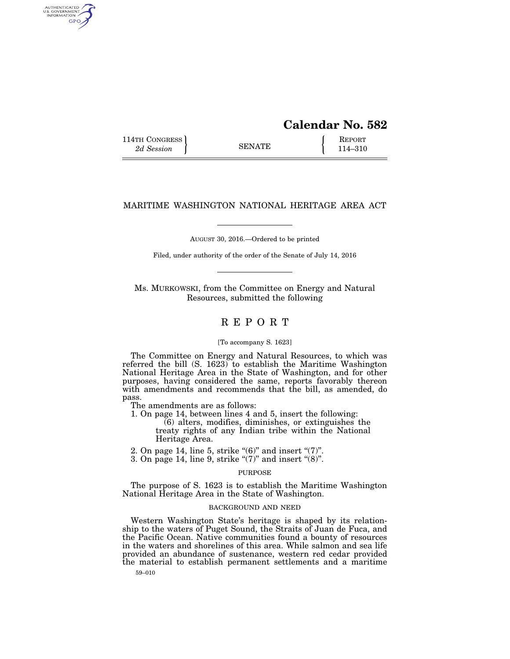# **Calendar No. 582**  114TH CONGRESS **REPORT** 2d Session **114–310 8ENATE** 114–310

# MARITIME WASHINGTON NATIONAL HERITAGE AREA ACT

AUGUST 30, 2016.—Ordered to be printed

Filed, under authority of the order of the Senate of July 14, 2016

Ms. MURKOWSKI, from the Committee on Energy and Natural Resources, submitted the following

# R E P O R T

#### [To accompany S. 1623]

The Committee on Energy and Natural Resources, to which was referred the bill (S. 1623) to establish the Maritime Washington National Heritage Area in the State of Washington, and for other purposes, having considered the same, reports favorably thereon with amendments and recommends that the bill, as amended, do pass.

The amendments are as follows:

1. On page 14, between lines 4 and 5, insert the following:

(6) alters, modifies, diminishes, or extinguishes the treaty rights of any Indian tribe within the National Heritage Area.

- 2. On page 14, line 5, strike " $(6)$ " and insert " $(7)$ ".
- 3. On page 14, line 9, strike " $(7)$ " and insert " $(8)$ ".

### PURPOSE

The purpose of S. 1623 is to establish the Maritime Washington National Heritage Area in the State of Washington.

# BACKGROUND AND NEED

Western Washington State's heritage is shaped by its relationship to the waters of Puget Sound, the Straits of Juan de Fuca, and the Pacific Ocean. Native communities found a bounty of resources in the waters and shorelines of this area. While salmon and sea life provided an abundance of sustenance, western red cedar provided the material to establish permanent settlements and a maritime

59–010

AUTHENTICATED<br>U.S. GOVERNMENT<br>INFORMATION GPO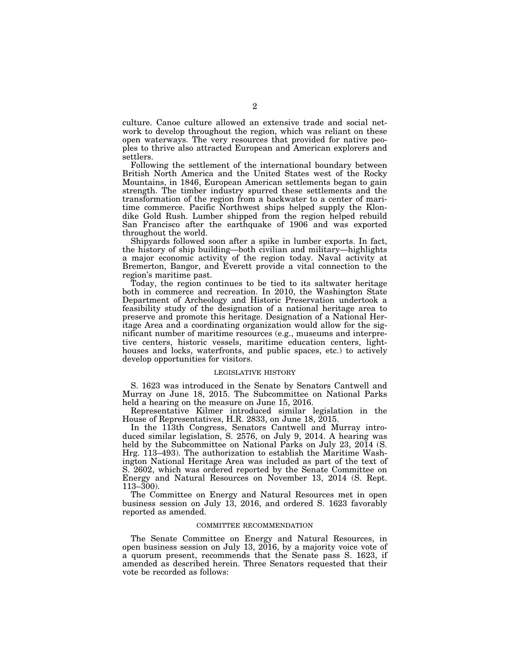culture. Canoe culture allowed an extensive trade and social network to develop throughout the region, which was reliant on these open waterways. The very resources that provided for native peoples to thrive also attracted European and American explorers and settlers.

Following the settlement of the international boundary between British North America and the United States west of the Rocky Mountains, in 1846, European American settlements began to gain strength. The timber industry spurred these settlements and the transformation of the region from a backwater to a center of maritime commerce. Pacific Northwest ships helped supply the Klondike Gold Rush. Lumber shipped from the region helped rebuild San Francisco after the earthquake of 1906 and was exported throughout the world.

Shipyards followed soon after a spike in lumber exports. In fact, the history of ship building—both civilian and military—highlights a major economic activity of the region today. Naval activity at Bremerton, Bangor, and Everett provide a vital connection to the region's maritime past.

Today, the region continues to be tied to its saltwater heritage both in commerce and recreation. In 2010, the Washington State Department of Archeology and Historic Preservation undertook a feasibility study of the designation of a national heritage area to preserve and promote this heritage. Designation of a National Heritage Area and a coordinating organization would allow for the significant number of maritime resources (e.g., museums and interpretive centers, historic vessels, maritime education centers, lighthouses and locks, waterfronts, and public spaces, etc.) to actively develop opportunities for visitors.

# LEGISLATIVE HISTORY

S. 1623 was introduced in the Senate by Senators Cantwell and Murray on June 18, 2015. The Subcommittee on National Parks held a hearing on the measure on June 15, 2016.

Representative Kilmer introduced similar legislation in the House of Representatives, H.R. 2833, on June 18, 2015.

In the 113th Congress, Senators Cantwell and Murray introduced similar legislation, S. 2576, on July 9, 2014. A hearing was held by the Subcommittee on National Parks on July 23, 2014 (S. Hrg. 113–493). The authorization to establish the Maritime Washington National Heritage Area was included as part of the text of S. 2602, which was ordered reported by the Senate Committee on Energy and Natural Resources on November 13, 2014 (S. Rept. 113–300).

The Committee on Energy and Natural Resources met in open business session on July 13, 2016, and ordered S. 1623 favorably reported as amended.

#### COMMITTEE RECOMMENDATION

The Senate Committee on Energy and Natural Resources, in open business session on July 13, 2016, by a majority voice vote of a quorum present, recommends that the Senate pass S. 1623, if amended as described herein. Three Senators requested that their vote be recorded as follows: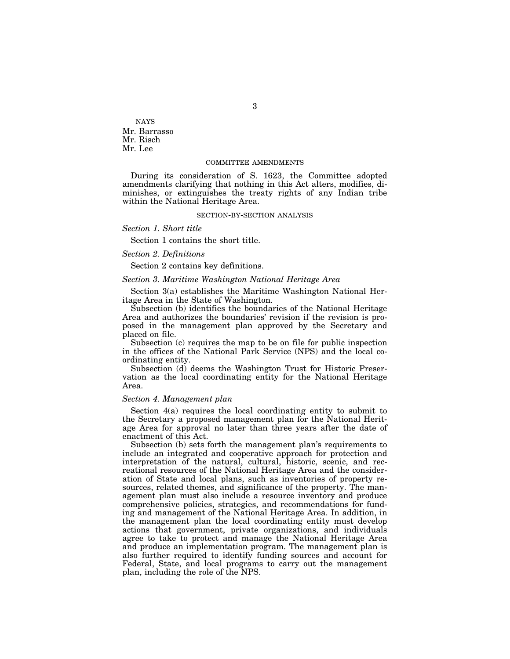NAYS Mr. Barrasso Mr. Risch Mr. Lee

#### COMMITTEE AMENDMENTS

During its consideration of S. 1623, the Committee adopted amendments clarifying that nothing in this Act alters, modifies, diminishes, or extinguishes the treaty rights of any Indian tribe within the National Heritage Area.

#### SECTION-BY-SECTION ANALYSIS

*Section 1. Short title* 

Section 1 contains the short title.

# *Section 2. Definitions*

Section 2 contains key definitions.

# *Section 3. Maritime Washington National Heritage Area*

Section 3(a) establishes the Maritime Washington National Heritage Area in the State of Washington.

Subsection (b) identifies the boundaries of the National Heritage Area and authorizes the boundaries' revision if the revision is proposed in the management plan approved by the Secretary and placed on file.

Subsection (c) requires the map to be on file for public inspection in the offices of the National Park Service (NPS) and the local coordinating entity.

Subsection (d) deems the Washington Trust for Historic Preservation as the local coordinating entity for the National Heritage Area.

#### *Section 4. Management plan*

Section 4(a) requires the local coordinating entity to submit to the Secretary a proposed management plan for the National Heritage Area for approval no later than three years after the date of enactment of this Act.

Subsection (b) sets forth the management plan's requirements to include an integrated and cooperative approach for protection and interpretation of the natural, cultural, historic, scenic, and recreational resources of the National Heritage Area and the consideration of State and local plans, such as inventories of property resources, related themes, and significance of the property. The management plan must also include a resource inventory and produce comprehensive policies, strategies, and recommendations for funding and management of the National Heritage Area. In addition, in the management plan the local coordinating entity must develop actions that government, private organizations, and individuals agree to take to protect and manage the National Heritage Area and produce an implementation program. The management plan is also further required to identify funding sources and account for Federal, State, and local programs to carry out the management plan, including the role of the NPS.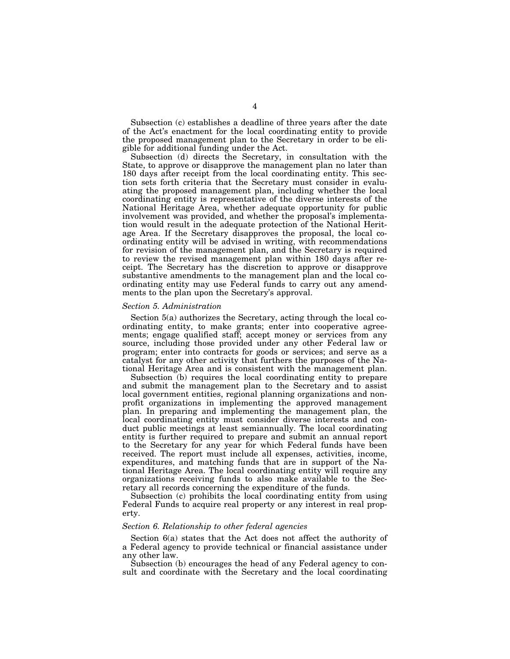Subsection (c) establishes a deadline of three years after the date of the Act's enactment for the local coordinating entity to provide the proposed management plan to the Secretary in order to be eligible for additional funding under the Act.

Subsection (d) directs the Secretary, in consultation with the State, to approve or disapprove the management plan no later than 180 days after receipt from the local coordinating entity. This section sets forth criteria that the Secretary must consider in evaluating the proposed management plan, including whether the local coordinating entity is representative of the diverse interests of the National Heritage Area, whether adequate opportunity for public involvement was provided, and whether the proposal's implementation would result in the adequate protection of the National Heritage Area. If the Secretary disapproves the proposal, the local coordinating entity will be advised in writing, with recommendations for revision of the management plan, and the Secretary is required to review the revised management plan within 180 days after receipt. The Secretary has the discretion to approve or disapprove substantive amendments to the management plan and the local coordinating entity may use Federal funds to carry out any amendments to the plan upon the Secretary's approval.

#### *Section 5. Administration*

Section 5(a) authorizes the Secretary, acting through the local coordinating entity, to make grants; enter into cooperative agreements; engage qualified staff; accept money or services from any source, including those provided under any other Federal law or program; enter into contracts for goods or services; and serve as a catalyst for any other activity that furthers the purposes of the National Heritage Area and is consistent with the management plan.

Subsection (b) requires the local coordinating entity to prepare and submit the management plan to the Secretary and to assist local government entities, regional planning organizations and nonprofit organizations in implementing the approved management plan. In preparing and implementing the management plan, the local coordinating entity must consider diverse interests and conduct public meetings at least semiannually. The local coordinating entity is further required to prepare and submit an annual report to the Secretary for any year for which Federal funds have been received. The report must include all expenses, activities, income, expenditures, and matching funds that are in support of the National Heritage Area. The local coordinating entity will require any organizations receiving funds to also make available to the Secretary all records concerning the expenditure of the funds.

Subsection (c) prohibits the local coordinating entity from using Federal Funds to acquire real property or any interest in real property.

#### *Section 6. Relationship to other federal agencies*

Section 6(a) states that the Act does not affect the authority of a Federal agency to provide technical or financial assistance under any other law.

Subsection (b) encourages the head of any Federal agency to consult and coordinate with the Secretary and the local coordinating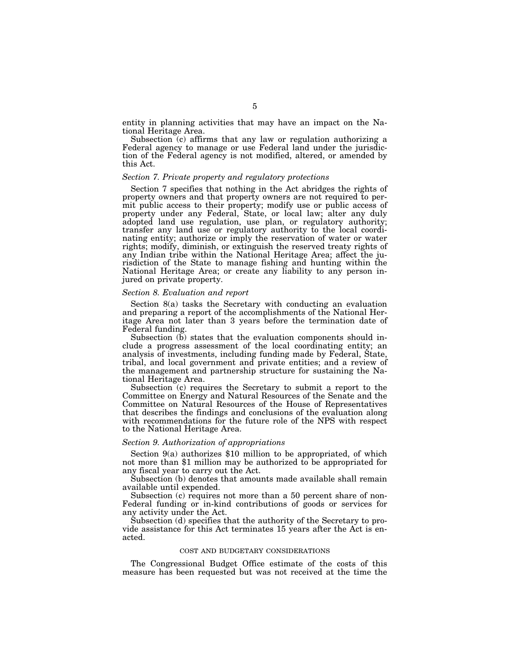entity in planning activities that may have an impact on the National Heritage Area.

Subsection (c) affirms that any law or regulation authorizing a Federal agency to manage or use Federal land under the jurisdiction of the Federal agency is not modified, altered, or amended by this Act.

#### *Section 7. Private property and regulatory protections*

Section 7 specifies that nothing in the Act abridges the rights of property owners and that property owners are not required to permit public access to their property; modify use or public access of property under any Federal, State, or local law; alter any duly adopted land use regulation, use plan, or regulatory authority; transfer any land use or regulatory authority to the local coordinating entity; authorize or imply the reservation of water or water rights; modify, diminish, or extinguish the reserved treaty rights of any Indian tribe within the National Heritage Area; affect the jurisdiction of the State to manage fishing and hunting within the National Heritage Area; or create any liability to any person injured on private property.

#### *Section 8. Evaluation and report*

Section 8(a) tasks the Secretary with conducting an evaluation and preparing a report of the accomplishments of the National Heritage Area not later than 3 years before the termination date of Federal funding.

Subsection  $(b)$  states that the evaluation components should include a progress assessment of the local coordinating entity; an analysis of investments, including funding made by Federal, State, tribal, and local government and private entities; and a review of the management and partnership structure for sustaining the National Heritage Area.

Subsection (c) requires the Secretary to submit a report to the Committee on Energy and Natural Resources of the Senate and the Committee on Natural Resources of the House of Representatives that describes the findings and conclusions of the evaluation along with recommendations for the future role of the NPS with respect to the National Heritage Area.

#### *Section 9. Authorization of appropriations*

Section 9(a) authorizes \$10 million to be appropriated, of which not more than \$1 million may be authorized to be appropriated for any fiscal year to carry out the Act.

Subsection (b) denotes that amounts made available shall remain available until expended.

Subsection (c) requires not more than a 50 percent share of non-Federal funding or in-kind contributions of goods or services for any activity under the Act.

Subsection (d) specifies that the authority of the Secretary to provide assistance for this Act terminates 15 years after the Act is enacted.

#### COST AND BUDGETARY CONSIDERATIONS

The Congressional Budget Office estimate of the costs of this measure has been requested but was not received at the time the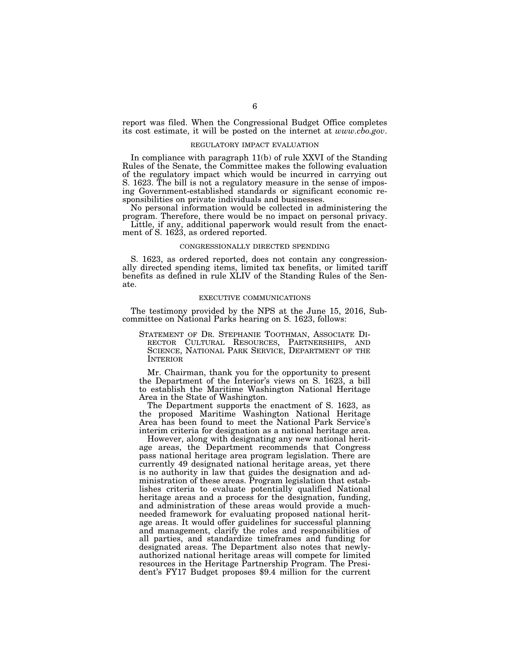report was filed. When the Congressional Budget Office completes its cost estimate, it will be posted on the internet at *www.cbo.gov*.

#### REGULATORY IMPACT EVALUATION

In compliance with paragraph 11(b) of rule XXVI of the Standing Rules of the Senate, the Committee makes the following evaluation of the regulatory impact which would be incurred in carrying out S. 1623. The bill is not a regulatory measure in the sense of imposing Government-established standards or significant economic responsibilities on private individuals and businesses.

No personal information would be collected in administering the program. Therefore, there would be no impact on personal privacy.

Little, if any, additional paperwork would result from the enactment of S. 1623, as ordered reported.

#### CONGRESSIONALLY DIRECTED SPENDING

S. 1623, as ordered reported, does not contain any congressionally directed spending items, limited tax benefits, or limited tariff benefits as defined in rule XLIV of the Standing Rules of the Senate.

# EXECUTIVE COMMUNICATIONS

The testimony provided by the NPS at the June 15, 2016, Subcommittee on National Parks hearing on S. 1623, follows:

STATEMENT OF DR. STEPHANIE TOOTHMAN, ASSOCIATE DI-RECTOR CULTURAL RESOURCES, PARTNERSHIPS, AND SCIENCE, NATIONAL PARK SERVICE, DEPARTMENT OF THE INTERIOR

Mr. Chairman, thank you for the opportunity to present the Department of the Interior's views on S. 1623, a bill to establish the Maritime Washington National Heritage Area in the State of Washington.

The Department supports the enactment of S. 1623, as the proposed Maritime Washington National Heritage Area has been found to meet the National Park Service's interim criteria for designation as a national heritage area.

However, along with designating any new national heritage areas, the Department recommends that Congress pass national heritage area program legislation. There are currently 49 designated national heritage areas, yet there is no authority in law that guides the designation and administration of these areas. Program legislation that establishes criteria to evaluate potentially qualified National heritage areas and a process for the designation, funding, and administration of these areas would provide a muchneeded framework for evaluating proposed national heritage areas. It would offer guidelines for successful planning and management, clarify the roles and responsibilities of all parties, and standardize timeframes and funding for designated areas. The Department also notes that newlyauthorized national heritage areas will compete for limited resources in the Heritage Partnership Program. The President's FY17 Budget proposes \$9.4 million for the current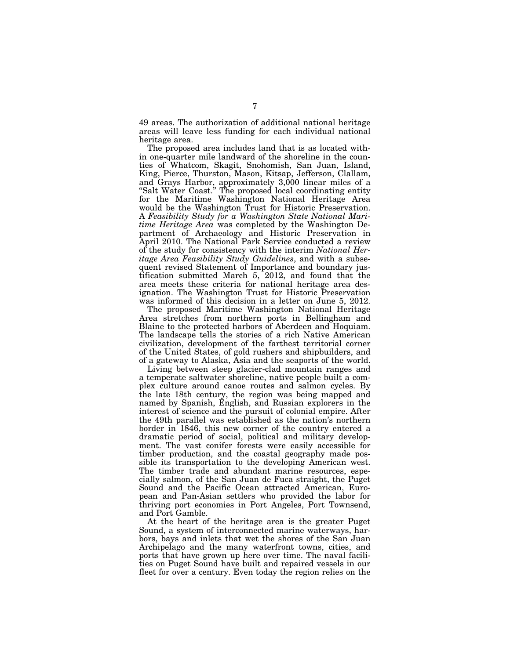49 areas. The authorization of additional national heritage areas will leave less funding for each individual national heritage area.

The proposed area includes land that is as located within one-quarter mile landward of the shoreline in the counties of Whatcom, Skagit, Snohomish, San Juan, Island, King, Pierce, Thurston, Mason, Kitsap, Jefferson, Clallam, and Grays Harbor, approximately 3,000 linear miles of a "Salt Water Coast." The proposed local coordinating entity for the Maritime Washington National Heritage Area would be the Washington Trust for Historic Preservation. A *Feasibility Study for a Washington State National Maritime Heritage Area* was completed by the Washington Department of Archaeology and Historic Preservation in April 2010. The National Park Service conducted a review of the study for consistency with the interim *National Heritage Area Feasibility Study Guidelines*, and with a subsequent revised Statement of Importance and boundary justification submitted March 5, 2012, and found that the area meets these criteria for national heritage area designation. The Washington Trust for Historic Preservation was informed of this decision in a letter on June 5, 2012.

The proposed Maritime Washington National Heritage Area stretches from northern ports in Bellingham and Blaine to the protected harbors of Aberdeen and Hoquiam. The landscape tells the stories of a rich Native American civilization, development of the farthest territorial corner of the United States, of gold rushers and shipbuilders, and of a gateway to Alaska, Asia and the seaports of the world.

Living between steep glacier-clad mountain ranges and a temperate saltwater shoreline, native people built a complex culture around canoe routes and salmon cycles. By the late 18th century, the region was being mapped and named by Spanish, English, and Russian explorers in the interest of science and the pursuit of colonial empire. After the 49th parallel was established as the nation's northern border in 1846, this new corner of the country entered a dramatic period of social, political and military development. The vast conifer forests were easily accessible for timber production, and the coastal geography made possible its transportation to the developing American west. The timber trade and abundant marine resources, especially salmon, of the San Juan de Fuca straight, the Puget Sound and the Pacific Ocean attracted American, European and Pan-Asian settlers who provided the labor for thriving port economies in Port Angeles, Port Townsend, and Port Gamble.

At the heart of the heritage area is the greater Puget Sound, a system of interconnected marine waterways, harbors, bays and inlets that wet the shores of the San Juan Archipelago and the many waterfront towns, cities, and ports that have grown up here over time. The naval facilities on Puget Sound have built and repaired vessels in our fleet for over a century. Even today the region relies on the